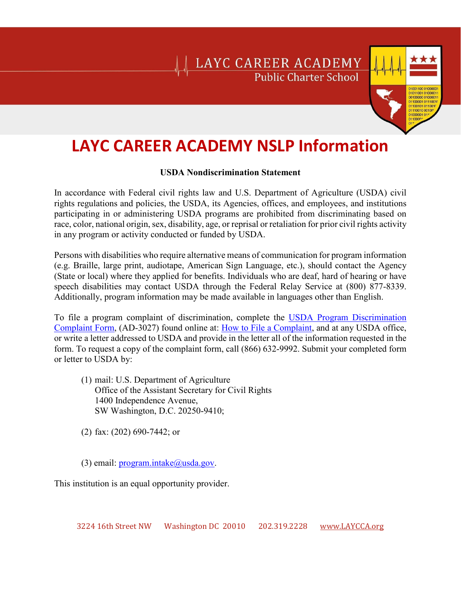### LAYC CAREER ACADEMY **Public Charter School**



### **LAYC CAREER ACADEMY NSLP Information**

#### **USDA Nondiscrimination Statement**

In accordance with Federal civil rights law and U.S. Department of Agriculture (USDA) civil rights regulations and policies, the USDA, its Agencies, offices, and employees, and institutions participating in or administering USDA programs are prohibited from discriminating based on race, color, national origin, sex, disability, age, or reprisal or retaliation for prior civil rights activity in any program or activity conducted or funded by USDA.

Persons with disabilities who require alternative means of communication for program information (e.g. Braille, large print, audiotape, American Sign Language, etc.), should contact the Agency (State or local) where they applied for benefits. Individuals who are deaf, hard of hearing or have speech disabilities may contact USDA through the Federal Relay Service at (800) 877-8339. Additionally, program information may be made available in languages other than English.

To file a program complaint of discrimination, complete the [USDA Program Discrimination](https://www.ocio.usda.gov/sites/default/files/docs/2012/Complain_combined_6_8_12.pdf)  [Complaint Form,](https://www.ocio.usda.gov/sites/default/files/docs/2012/Complain_combined_6_8_12.pdf) (AD-3027) found online at: [How to File a Complaint,](https://www.ascr.usda.gov/filing-program-discrimination-complaint-usda-customer) and at any USDA office, or write a letter addressed to USDA and provide in the letter all of the information requested in the form. To request a copy of the complaint form, call (866) 632-9992. Submit your completed form or letter to USDA by:

- (1) mail: U.S. Department of Agriculture Office of the Assistant Secretary for Civil Rights 1400 Independence Avenue, SW Washington, D.C. 20250-9410;
- (2) fax: (202) 690-7442; or

(3) email:  $program.intake@u sda.gov$ .

This institution is an equal opportunity provider.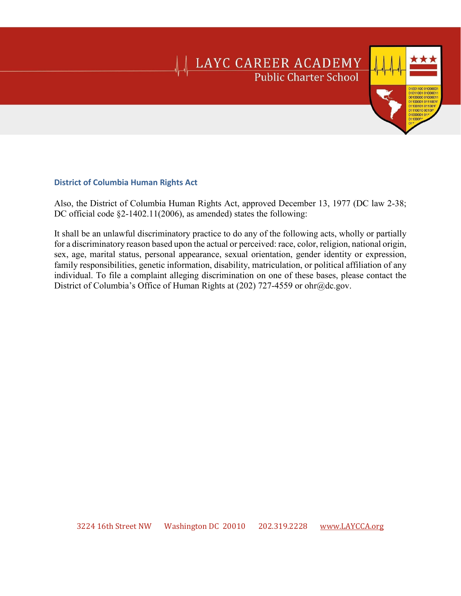## **LAYC CAREER ACADEMY**<br>Public Charter School

#### **District of Columbia Human Rights Act**

Also, the District of Columbia Human Rights Act, approved December 13, 1977 (DC law 2-38; DC official code §2-1402.11(2006), as amended) states the following:

It shall be an unlawful discriminatory practice to do any of the following acts, wholly or partially for a discriminatory reason based upon the actual or perceived: race, color, religion, national origin, sex, age, marital status, personal appearance, sexual orientation, gender identity or expression, family responsibilities, genetic information, disability, matriculation, or political affiliation of any individual. To file a complaint alleging discrimination on one of these bases, please contact the District of Columbia's Office of Human Rights at (202) 727-4559 or ohr@dc.gov.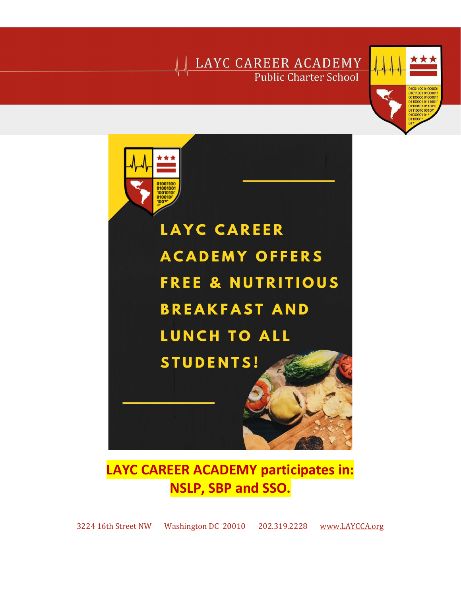## LAYC CAREER ACADEMY Public Charter School





### **LAYC CAREER ACADEMY participates in: NSLP, SBP and SSO.**

3224 16th Street NW Washington DC 20010 202.319.2228 [www.LAYCCA.org](http://www.laycca.org/)